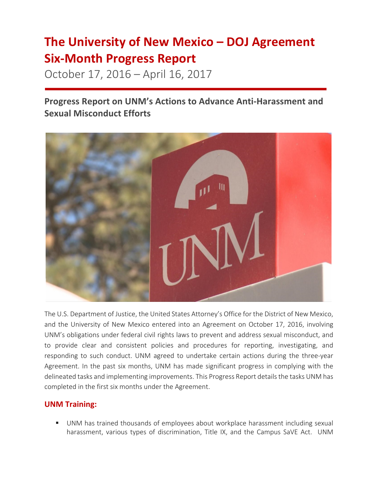# **The University of New Mexico – DOJ Agreement Six-Month Progress Report**

October 17, 2016 – April 16, 2017

**Progress Report on UNM's Actions to Advance Anti-Harassment and Sexual Misconduct Efforts**



The U.S. Department of Justice, the United States Attorney's Office for the District of New Mexico, and the University of New Mexico entered into an Agreement on October 17, 2016, involving UNM's obligations under federal civil rights laws to prevent and address sexual misconduct, and to provide clear and consistent policies and procedures for reporting, investigating, and responding to such conduct. UNM agreed to undertake certain actions during the three-year Agreement. In the past six months, UNM has made significant progress in complying with the delineated tasks and implementing improvements. This Progress Report details the tasks UNM has completed in the first six months under the Agreement.

## **UNM Training:**

■ UNM has trained thousands of employees about workplace harassment including sexual harassment, various types of discrimination, Title IX, and the Campus SaVE Act. UNM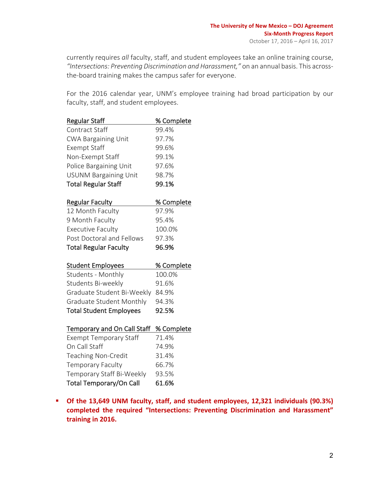currently requires all faculty, staff, and student employees take an online training course, "Intersections: Preventing Discrimination and Harassment," on an annual basis. This acrossthe-board training makes the campus safer for everyone.

For the 2016 calendar year, UNM's employee training had broad participation by our faculty, staff, and student employees.

| <b>Regular Staff</b>           | % Complete |
|--------------------------------|------------|
| <b>Contract Staff</b>          | 99.4%      |
| <b>CWA Bargaining Unit</b>     | 97.7%      |
| <b>Exempt Staff</b>            | 99.6%      |
| Non-Exempt Staff               | 99.1%      |
| Police Bargaining Unit         | 97.6%      |
| <b>USUNM Bargaining Unit</b>   | 98.7%      |
| <b>Total Regular Staff</b>     | 99.1%      |
| <b>Regular Faculty</b>         | % Complete |
| 12 Month Faculty               | 97.9%      |
| 9 Month Faculty                | 95.4%      |
| <b>Executive Faculty</b>       | 100.0%     |
| Post Doctoral and Fellows      | 97.3%      |
| <b>Total Regular Faculty</b>   | 96.9%      |
| <b>Student Employees</b>       | % Complete |
| Students - Monthly             | 100.0%     |
| Students Bi-weekly             | 91.6%      |
| Graduate Student Bi-Weekly     | 84.9%      |
| Graduate Student Monthly       | 94.3%      |
| <b>Total Student Employees</b> | 92.5%      |
| Temporary and On Call Staff    | % Complete |
| <b>Exempt Temporary Staff</b>  | 71.4%      |
| On Call Staff                  | 74.9%      |
| <b>Teaching Non-Credit</b>     | 31.4%      |
| <b>Temporary Faculty</b>       | 66.7%      |
| Temporary Staff Bi-Weekly      | 93.5%      |

Total Temporary/On Call 61.6%

**E** Of the 13,649 UNM faculty, staff, and student employees, 12,321 individuals (90.3%) completed the required "Intersections: Preventing Discrimination and Harassment" **training in 2016.**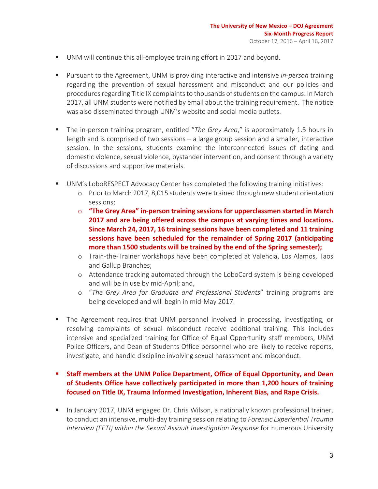- UNM will continue this all-employee training effort in 2017 and beyond.
- **•** Pursuant to the Agreement, UNM is providing interactive and intensive *in-person* training regarding the prevention of sexual harassment and misconduct and our policies and procedures regarding Title IX complaints to thousands of students on the campus. In March 2017, all UNM students were notified by email about the training requirement. The notice was also disseminated through UNM's website and social media outlets.
- **E** The in-person training program, entitled "*The Grey Area*," is approximately 1.5 hours in length and is comprised of two sessions  $-$  a large group session and a smaller, interactive session. In the sessions, students examine the interconnected issues of dating and domestic violence, sexual violence, bystander intervention, and consent through a variety of discussions and supportive materials.
- UNM's LoboRESPECT Advocacy Center has completed the following training initiatives:
	- o Prior to March 2017, 8,015 students were trained through new student orientation sessions;
	- $\circ$  **"The Grey Area" in-person training sessions for upperclassmen started in March 2017** and are being offered across the campus at varying times and locations. **Since March 24, 2017, 16 training sessions have been completed and 11 training** sessions have been scheduled for the remainder of Spring 2017 (anticipating **more than 1500 students will be trained by the end of the Spring semester);**
	- o Train-the-Trainer workshops have been completed at Valencia, Los Alamos, Taos and Gallup Branches;
	- o Attendance tracking automated through the LoboCard system is being developed and will be in use by mid-April; and,
	- o "*The Grey Area for Graduate and Professional Students*" training programs are being developed and will begin in mid-May 2017.
- The Agreement requires that UNM personnel involved in processing, investigating, or resolving complaints of sexual misconduct receive additional training. This includes intensive and specialized training for Office of Equal Opportunity staff members, UNM Police Officers, and Dean of Students Office personnel who are likely to receive reports, investigate, and handle discipline involving sexual harassment and misconduct.

## **Example 1 Staff members at the UNM Police Department, Office of Equal Opportunity, and Dean** of Students Office have collectively participated in more than 1,200 hours of training focused on Title IX, Trauma Informed Investigation, Inherent Bias, and Rape Crisis.

**•** In January 2017, UNM engaged Dr. Chris Wilson, a nationally known professional trainer, to conduct an intensive, multi-day training session relating to *Forensic Experiential Trauma Interview (FETI)* within the Sexual Assault Investigation Response for numerous University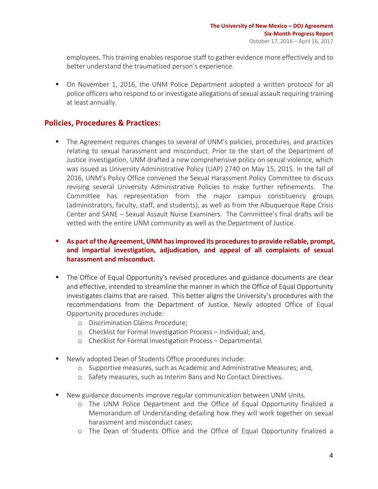employees. This training enables response staff to gather evidence more effectively and to better understand the traumatized person's experience.

■ On November 1, 2016, the UNM Police Department adopted a written protocol for all police officers who respond to or investigate allegations of sexual assault requiring training at least annually.

## **Policies, Procedures & Practices:**

■ The Agreement requires changes to several of UNM's policies, procedures, and practices relating to sexual harassment and misconduct. Prior to the start of the Department of Justice investigation, UNM drafted a new comprehensive policy on sexual violence, which was issued as University Administrative Policy (UAP) 2740 on May 15, 2015. In the fall of 2016, UNM's Policy Office convened the Sexual Harassment Policy Committee to discuss revising several University Administrative Policies to make further refinements. The Committee has representation from the major campus constituency groups (administrators, faculty, staff, and students), as well as from the Albuquerque Rape Crisis Center and SANE - Sexual Assault Nurse Examiners. The Committee's final drafts will be vetted with the entire UNM community as well as the Department of Justice.

## **E** As part of the Agreement, UNM has improved its procedures to provide reliable, prompt, and impartial investigation, adjudication, and appeal of all complaints of sexual harassment and misconduct.

- The Office of Equal Opportunity's revised procedures and guidance documents are clear and effective, intended to streamline the manner in which the Office of Equal Opportunity investigates claims that are raised. This better aligns the University's procedures with the recommendations from the Department of Justice. Newly adopted Office of Equal Opportunity procedures include:
	- o Discrimination Claims Procedure;
	- o Checklist for Formal Investigation Process Individual; and,
	- o Checklist for Formal Investigation Process Departmental.
- Newly adopted Dean of Students Office procedures include:
	- o Supportive measures, such as Academic and Administrative Measures; and,
	- o Safety measures, such as Interim Bans and No Contact Directives.
- New guidance documents improve regular communication between UNM Units.
	- o The UNM Police Department and the Office of Equal Opportunity finalized a Memorandum of Understanding detailing how they will work together on sexual harassment and misconduct cases;
	- o The Dean of Students Office and the Office of Equal Opportunity finalized a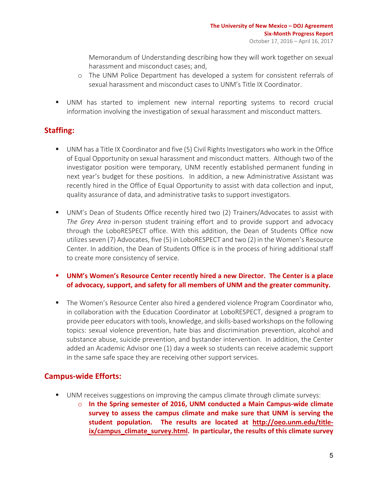Memorandum of Understanding describing how they will work together on sexual harassment and misconduct cases; and,

- $\circ$  The UNM Police Department has developed a system for consistent referrals of sexual harassment and misconduct cases to UNM's Title IX Coordinator.
- UNM has started to implement new internal reporting systems to record crucial information involving the investigation of sexual harassment and misconduct matters.

# **Staffing:**

- UNM has a Title IX Coordinator and five (5) Civil Rights Investigators who work in the Office of Equal Opportunity on sexual harassment and misconduct matters. Although two of the investigator position were temporary, UNM recently established permanent funding in next year's budget for these positions. In addition, a new Administrative Assistant was recently hired in the Office of Equal Opportunity to assist with data collection and input, quality assurance of data, and administrative tasks to support investigators.
- UNM's Dean of Students Office recently hired two (2) Trainers/Advocates to assist with *The Grey Area* in-person student training effort and to provide support and advocacy through the LoboRESPECT office. With this addition, the Dean of Students Office now utilizes seven (7) Advocates, five (5) in LoboRESPECT and two (2) in the Women's Resource Center. In addition, the Dean of Students Office is in the process of hiring additional staff to create more consistency of service.
- **UNM's Women's Resource Center recently hired a new Director. The Center is a place** of advocacy, support, and safety for all members of UNM and the greater community.
- The Women's Resource Center also hired a gendered violence Program Coordinator who, in collaboration with the Education Coordinator at LoboRESPECT, designed a program to provide peer educators with tools, knowledge, and skills-based workshops on the following topics: sexual violence prevention, hate bias and discrimination prevention, alcohol and substance abuse, suicide prevention, and bystander intervention. In addition, the Center added an Academic Advisor one (1) day a week so students can receive academic support in the same safe space they are receiving other support services.

# **Campus-wide Efforts:**

- UNM receives suggestions on improving the campus climate through climate surveys:
	- $\circ$  In the Spring semester of 2016, UNM conducted a Main Campus-wide climate survey to assess the campus climate and make sure that UNM is serving the student population. The results are located at http://oeo.unm.edu/titleix/campus\_climate\_survey.html. In particular, the results of this climate survey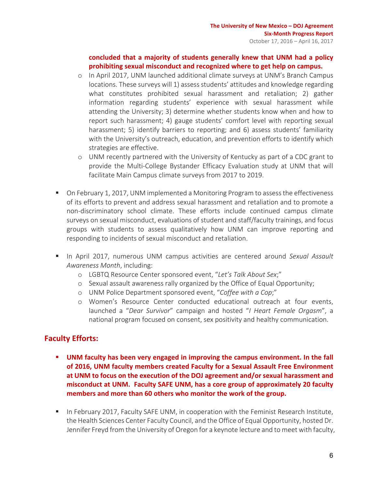## concluded that a majority of students generally knew that UNM had a policy prohibiting sexual misconduct and recognized where to get help on campus.

- o In April 2017, UNM launched additional climate surveys at UNM's Branch Campus locations. These surveys will 1) assess students' attitudes and knowledge regarding what constitutes prohibited sexual harassment and retaliation; 2) gather information regarding students' experience with sexual harassment while attending the University; 3) determine whether students know when and how to report such harassment; 4) gauge students' comfort level with reporting sexual harassment; 5) identify barriers to reporting; and 6) assess students' familiarity with the University's outreach, education, and prevention efforts to identify which strategies are effective.
- $\circ$  UNM recently partnered with the University of Kentucky as part of a CDC grant to provide the Multi-College Bystander Efficacy Evaluation study at UNM that will facilitate Main Campus climate surveys from 2017 to 2019.
- On February 1, 2017, UNM implemented a Monitoring Program to assess the effectiveness of its efforts to prevent and address sexual harassment and retaliation and to promote a non-discriminatory school climate. These efforts include continued campus climate surveys on sexual misconduct, evaluations of student and staff/faculty trainings, and focus groups with students to assess qualitatively how UNM can improve reporting and responding to incidents of sexual misconduct and retaliation.
- **•** In April 2017, numerous UNM campus activities are centered around Sexual Assault Awareness Month, including:
	- o LGBTQ Resource Center sponsored event, "*Let's Talk About Sex*;"
	- $\circ$  Sexual assault awareness rally organized by the Office of Equal Opportunity;
	- o UNM Police Department sponsored event, "*Coffee with a Cop*;"
	- o Women's Resource Center conducted educational outreach at four events, launched a "*Dear Survivor*" campaign and hosted "*I Heart Female Orgasm*", a national program focused on consent, sex positivity and healthy communication.

# **Faculty Efforts:**

- **UNM faculty has been very engaged in improving the campus environment. In the fall** of 2016, UNM faculty members created Faculty for a Sexual Assault Free Environment at UNM to focus on the execution of the DOJ agreement and/or sexual harassment and misconduct at UNM. Faculty SAFE UNM, has a core group of approximately 20 faculty members and more than 60 others who monitor the work of the group.
- **In February 2017, Faculty SAFE UNM, in cooperation with the Feminist Research Institute,** the Health Sciences Center Faculty Council, and the Office of Equal Opportunity, hosted Dr. Jennifer Freyd from the University of Oregon for a keynote lecture and to meet with faculty,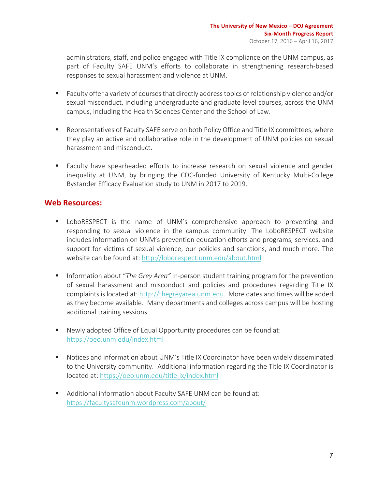administrators, staff, and police engaged with Title IX compliance on the UNM campus, as part of Faculty SAFE UNM's efforts to collaborate in strengthening research-based responses to sexual harassment and violence at UNM.

- Faculty offer a variety of courses that directly address topics of relationship violence and/or sexual misconduct, including undergraduate and graduate level courses, across the UNM campus, including the Health Sciences Center and the School of Law.
- Representatives of Faculty SAFE serve on both Policy Office and Title IX committees, where they play an active and collaborative role in the development of UNM policies on sexual harassment and misconduct.
- Faculty have spearheaded efforts to increase research on sexual violence and gender inequality at UNM, by bringing the CDC-funded University of Kentucky Multi-College Bystander Efficacy Evaluation study to UNM in 2017 to 2019.

## Web **Resources:**

- **■** LoboRESPECT is the name of UNM's comprehensive approach to preventing and responding to sexual violence in the campus community. The LoboRESPECT website includes information on UNM's prevention education efforts and programs, services, and support for victims of sexual violence, our policies and sanctions, and much more. The website can be found at: http://loborespect.unm.edu/about.html
- Information about "*The Grey Area*" in-person student training program for the prevention of sexual harassment and misconduct and policies and procedures regarding Title IX complaints is located at: http://thegreyarea.unm.edu. More dates and times will be added as they become available. Many departments and colleges across campus will be hosting additional training sessions.
- Newly adopted Office of Equal Opportunity procedures can be found at: https://oeo.unm.edu/index.html
- Notices and information about UNM's Title IX Coordinator have been widely disseminated to the University community. Additional information regarding the Title IX Coordinator is located at: https://oeo.unm.edu/title-ix/index.html
- Additional information about Faculty SAFE UNM can be found at: https://facultysafeunm.wordpress.com/about/